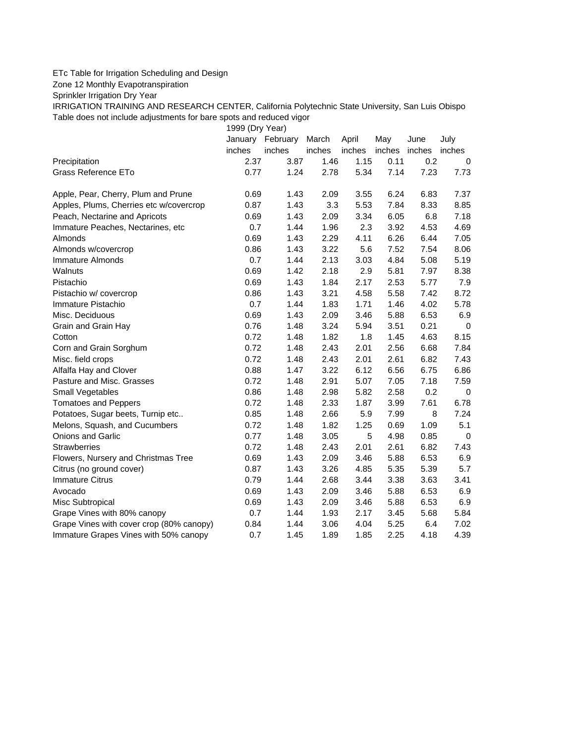## ETc Table for Irrigation Scheduling and Design

Zone 12 Monthly Evapotranspiration

Sprinkler Irrigation Dry Year

IRRIGATION TRAINING AND RESEARCH CENTER, California Polytechnic State University, San Luis Obispo Table does not include adjustments for bare spots and reduced vigor

1999 (Dry Year)

|                                          | January | February | March  | April  | May    | June   | July        |
|------------------------------------------|---------|----------|--------|--------|--------|--------|-------------|
|                                          | inches  | inches   | inches | inches | inches | inches | inches      |
| Precipitation                            | 2.37    | 3.87     | 1.46   | 1.15   | 0.11   | 0.2    | 0           |
| Grass Reference ETo                      | 0.77    | 1.24     | 2.78   | 5.34   | 7.14   | 7.23   | 7.73        |
| Apple, Pear, Cherry, Plum and Prune      | 0.69    | 1.43     | 2.09   | 3.55   | 6.24   | 6.83   | 7.37        |
| Apples, Plums, Cherries etc w/covercrop  | 0.87    | 1.43     | 3.3    | 5.53   | 7.84   | 8.33   | 8.85        |
| Peach, Nectarine and Apricots            | 0.69    | 1.43     | 2.09   | 3.34   | 6.05   | 6.8    | 7.18        |
| Immature Peaches, Nectarines, etc        | 0.7     | 1.44     | 1.96   | 2.3    | 3.92   | 4.53   | 4.69        |
| Almonds                                  | 0.69    | 1.43     | 2.29   | 4.11   | 6.26   | 6.44   | 7.05        |
| Almonds w/covercrop                      | 0.86    | 1.43     | 3.22   | 5.6    | 7.52   | 7.54   | 8.06        |
| Immature Almonds                         | 0.7     | 1.44     | 2.13   | 3.03   | 4.84   | 5.08   | 5.19        |
| Walnuts                                  | 0.69    | 1.42     | 2.18   | 2.9    | 5.81   | 7.97   | 8.38        |
| Pistachio                                | 0.69    | 1.43     | 1.84   | 2.17   | 2.53   | 5.77   | 7.9         |
| Pistachio w/ covercrop                   | 0.86    | 1.43     | 3.21   | 4.58   | 5.58   | 7.42   | 8.72        |
| Immature Pistachio                       | 0.7     | 1.44     | 1.83   | 1.71   | 1.46   | 4.02   | 5.78        |
| Misc. Deciduous                          | 0.69    | 1.43     | 2.09   | 3.46   | 5.88   | 6.53   | 6.9         |
| Grain and Grain Hay                      | 0.76    | 1.48     | 3.24   | 5.94   | 3.51   | 0.21   | $\mathbf 0$ |
| Cotton                                   | 0.72    | 1.48     | 1.82   | 1.8    | 1.45   | 4.63   | 8.15        |
| Corn and Grain Sorghum                   | 0.72    | 1.48     | 2.43   | 2.01   | 2.56   | 6.68   | 7.84        |
| Misc. field crops                        | 0.72    | 1.48     | 2.43   | 2.01   | 2.61   | 6.82   | 7.43        |
| Alfalfa Hay and Clover                   | 0.88    | 1.47     | 3.22   | 6.12   | 6.56   | 6.75   | 6.86        |
| Pasture and Misc. Grasses                | 0.72    | 1.48     | 2.91   | 5.07   | 7.05   | 7.18   | 7.59        |
| Small Vegetables                         | 0.86    | 1.48     | 2.98   | 5.82   | 2.58   | 0.2    | 0           |
| <b>Tomatoes and Peppers</b>              | 0.72    | 1.48     | 2.33   | 1.87   | 3.99   | 7.61   | 6.78        |
| Potatoes, Sugar beets, Turnip etc        | 0.85    | 1.48     | 2.66   | 5.9    | 7.99   | 8      | 7.24        |
| Melons, Squash, and Cucumbers            | 0.72    | 1.48     | 1.82   | 1.25   | 0.69   | 1.09   | 5.1         |
| <b>Onions and Garlic</b>                 | 0.77    | 1.48     | 3.05   | 5      | 4.98   | 0.85   | 0           |
| <b>Strawberries</b>                      | 0.72    | 1.48     | 2.43   | 2.01   | 2.61   | 6.82   | 7.43        |
| Flowers, Nursery and Christmas Tree      | 0.69    | 1.43     | 2.09   | 3.46   | 5.88   | 6.53   | 6.9         |
| Citrus (no ground cover)                 | 0.87    | 1.43     | 3.26   | 4.85   | 5.35   | 5.39   | 5.7         |
| <b>Immature Citrus</b>                   | 0.79    | 1.44     | 2.68   | 3.44   | 3.38   | 3.63   | 3.41        |
| Avocado                                  | 0.69    | 1.43     | 2.09   | 3.46   | 5.88   | 6.53   | 6.9         |
| Misc Subtropical                         | 0.69    | 1.43     | 2.09   | 3.46   | 5.88   | 6.53   | 6.9         |
| Grape Vines with 80% canopy              | 0.7     | 1.44     | 1.93   | 2.17   | 3.45   | 5.68   | 5.84        |
| Grape Vines with cover crop (80% canopy) | 0.84    | 1.44     | 3.06   | 4.04   | 5.25   | 6.4    | 7.02        |
| Immature Grapes Vines with 50% canopy    | 0.7     | 1.45     | 1.89   | 1.85   | 2.25   | 4.18   | 4.39        |